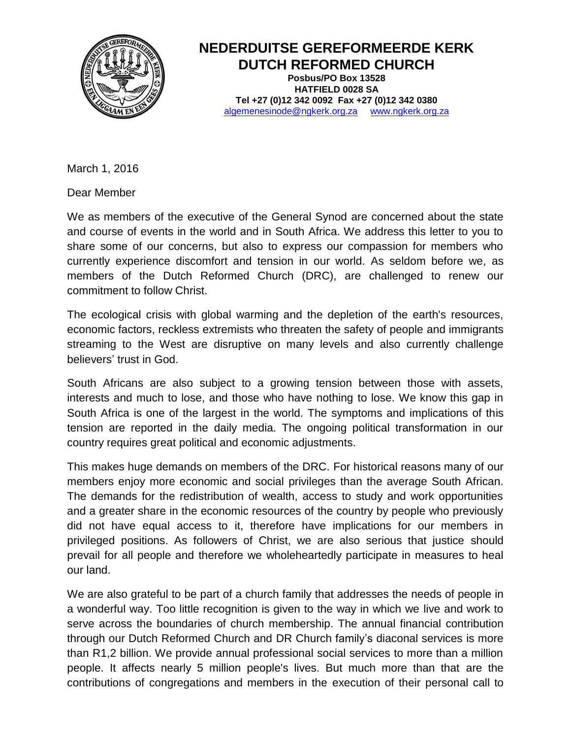

## **NEDERDUITSE GEREFORMEERDE KERK DUTCH REFORMED CHURCH**

**Posbus/PO Box 13528 HATFIELD 0028 SA Tel +27 (0)12 342 0092 Fax +27 (0)12 342 0380** algemenesinode@ngkerk.org.za www.ngkerk.org.za

March 1, 2016

Dear Member

We as members of the executive of the General Synod are concerned about the state and course of events in the world and in South Africa. We address this letter to you to share some of our concerns, but also to express our compassion for members who currently experience discomfort and tension in our world. As seldom before we, as members of the Dutch Reformed Church (DRC), are challenged to renew our commitment to follow Christ.

The ecological crisis with global warming and the depletion of the earth's resources, economic factors, reckless extremists who threaten the safety of people and immigrants streaming to the West are disruptive on many levels and also currently challenge believers' trust in God.

South Africans are also subject to a growing tension between those with assets, interests and much to lose, and those who have nothing to lose. We know this gap in South Africa is one of the largest in the world. The symptoms and implications of this tension are reported in the daily media. The ongoing political transformation in our country requires great political and economic adjustments.

This makes huge demands on members of the DRC. For historical reasons many of our members enjoy more economic and social privileges than the average South African. The demands for the redistribution of wealth, access to study and work opportunities and a greater share in the economic resources of the country by people who previously did not have equal access to it, therefore have implications for our members in privileged positions. As followers of Christ, we are also serious that justice should prevail for all people and therefore we wholeheartedly participate in measures to heal our land.

We are also grateful to be part of a church family that addresses the needs of people in a wonderful way. Too little recognition is given to the way in which we live and work to serve across the boundaries of church membership. The annual financial contribution through our Dutch Reformed Church and DR Church family's diaconal services is more than R1,2 billion. We provide annual professional social services to more than a million people. It affects nearly 5 million people's lives. But much more than that are the contributions of congregations and members in the execution of their personal call to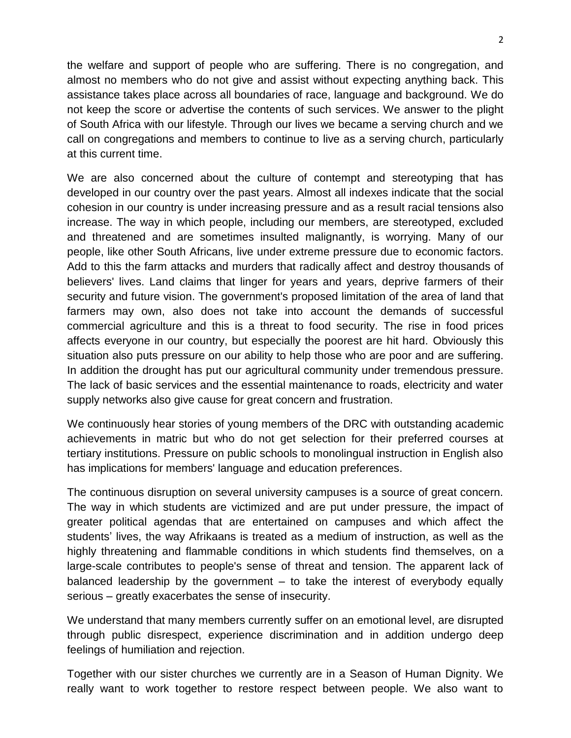the welfare and support of people who are suffering. There is no congregation, and almost no members who do not give and assist without expecting anything back. This assistance takes place across all boundaries of race, language and background. We do not keep the score or advertise the contents of such services. We answer to the plight of South Africa with our lifestyle. Through our lives we became a serving church and we call on congregations and members to continue to live as a serving church, particularly at this current time.

We are also concerned about the culture of contempt and stereotyping that has developed in our country over the past years. Almost all indexes indicate that the social cohesion in our country is under increasing pressure and as a result racial tensions also increase. The way in which people, including our members, are stereotyped, excluded and threatened and are sometimes insulted malignantly, is worrying. Many of our people, like other South Africans, live under extreme pressure due to economic factors. Add to this the farm attacks and murders that radically affect and destroy thousands of believers' lives. Land claims that linger for years and years, deprive farmers of their security and future vision. The government's proposed limitation of the area of land that farmers may own, also does not take into account the demands of successful commercial agriculture and this is a threat to food security. The rise in food prices affects everyone in our country, but especially the poorest are hit hard. Obviously this situation also puts pressure on our ability to help those who are poor and are suffering. In addition the drought has put our agricultural community under tremendous pressure. The lack of basic services and the essential maintenance to roads, electricity and water supply networks also give cause for great concern and frustration.

We continuously hear stories of young members of the DRC with outstanding academic achievements in matric but who do not get selection for their preferred courses at tertiary institutions. Pressure on public schools to monolingual instruction in English also has implications for members' language and education preferences.

The continuous disruption on several university campuses is a source of great concern. The way in which students are victimized and are put under pressure, the impact of greater political agendas that are entertained on campuses and which affect the students' lives, the way Afrikaans is treated as a medium of instruction, as well as the highly threatening and flammable conditions in which students find themselves, on a large-scale contributes to people's sense of threat and tension. The apparent lack of balanced leadership by the government – to take the interest of everybody equally serious – greatly exacerbates the sense of insecurity.

We understand that many members currently suffer on an emotional level, are disrupted through public disrespect, experience discrimination and in addition undergo deep feelings of humiliation and rejection.

Together with our sister churches we currently are in a Season of Human Dignity. We really want to work together to restore respect between people. We also want to